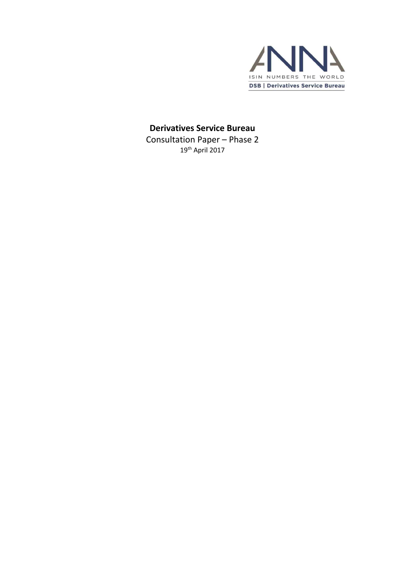

### **Derivatives Service Bureau**

Consultation Paper – Phase 2 19 th April 2017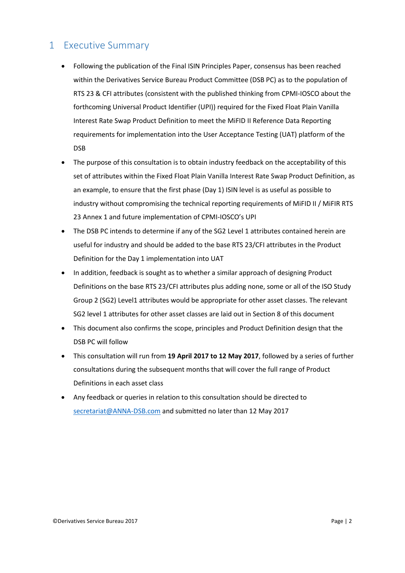### <span id="page-1-0"></span>1 Executive Summary

- Following the publication of the Final ISIN Principles Paper, consensus has been reached within the Derivatives Service Bureau Product Committee (DSB PC) as to the population of RTS 23 & CFI attributes (consistent with the published thinking from CPMI-IOSCO about the forthcoming Universal Product Identifier (UPI)) required for the Fixed Float Plain Vanilla Interest Rate Swap Product Definition to meet the MiFID II Reference Data Reporting requirements for implementation into the User Acceptance Testing (UAT) platform of the DSB
- The purpose of this consultation is to obtain industry feedback on the acceptability of this set of attributes within the Fixed Float Plain Vanilla Interest Rate Swap Product Definition, as an example, to ensure that the first phase (Day 1) ISIN level is as useful as possible to industry without compromising the technical reporting requirements of MiFID II / MiFIR RTS 23 Annex 1 and future implementation of CPMI-IOSCO's UPI
- The DSB PC intends to determine if any of the SG2 Level 1 attributes contained herein are useful for industry and should be added to the base RTS 23/CFI attributes in the Product Definition for the Day 1 implementation into UAT
- In addition, feedback is sought as to whether a similar approach of designing Product Definitions on the base RTS 23/CFI attributes plus adding none, some or all of the ISO Study Group 2 (SG2) Level1 attributes would be appropriate for other asset classes. The relevant SG2 level 1 attributes for other asset classes are laid out in Section 8 of this document
- This document also confirms the scope, principles and Product Definition design that the DSB PC will follow
- This consultation will run from **19 April 2017 to 12 May 2017**, followed by a series of further consultations during the subsequent months that will cover the full range of Product Definitions in each asset class
- Any feedback or queries in relation to this consultation should be directed to [secretariat@ANNA-DSB.com](mailto:secretariat@ANNA-DSB.com) and submitted no later than 12 May 2017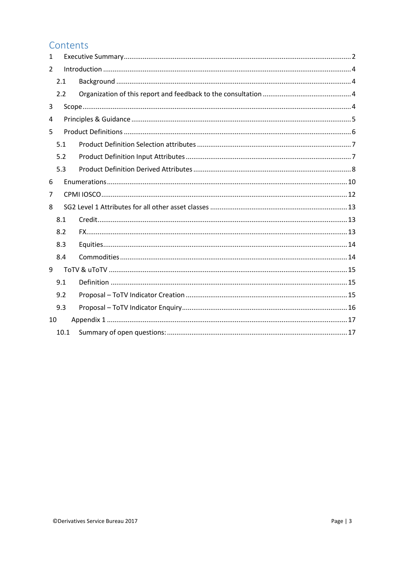### Contents

| 1  |      |  |  |  |
|----|------|--|--|--|
| 2  |      |  |  |  |
|    | 2.1  |  |  |  |
|    | 2.2  |  |  |  |
| 3  |      |  |  |  |
| 4  |      |  |  |  |
| 5  |      |  |  |  |
|    | 5.1  |  |  |  |
|    | 5.2  |  |  |  |
|    | 5.3  |  |  |  |
| 6  |      |  |  |  |
| 7  |      |  |  |  |
| 8  |      |  |  |  |
|    | 8.1  |  |  |  |
|    | 8.2  |  |  |  |
|    | 8.3  |  |  |  |
|    | 8.4  |  |  |  |
| 9  |      |  |  |  |
|    | 9.1  |  |  |  |
|    | 9.2  |  |  |  |
|    | 9.3  |  |  |  |
| 10 |      |  |  |  |
|    | 10.1 |  |  |  |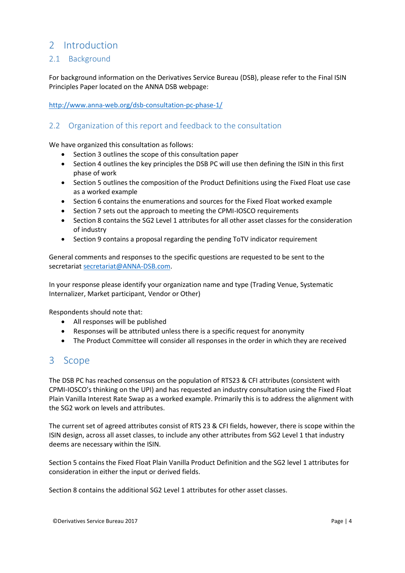### <span id="page-3-0"></span>2 Introduction

### <span id="page-3-1"></span>2.1 Background

For background information on the Derivatives Service Bureau (DSB), please refer to the Final ISIN Principles Paper located on the ANNA DSB webpage:

<http://www.anna-web.org/dsb-consultation-pc-phase-1/>

### <span id="page-3-2"></span>2.2 Organization of this report and feedback to the consultation

We have organized this consultation as follows:

- Section 3 outlines the scope of this consultation paper
- Section 4 outlines the key principles the DSB PC will use then defining the ISIN in this first phase of work
- Section 5 outlines the composition of the Product Definitions using the Fixed Float use case as a worked example
- Section 6 contains the enumerations and sources for the Fixed Float worked example
- Section 7 sets out the approach to meeting the CPMI-IOSCO requirements
- Section 8 contains the SG2 Level 1 attributes for all other asset classes for the consideration of industry
- Section 9 contains a proposal regarding the pending ToTV indicator requirement

General comments and responses to the specific questions are requested to be sent to the secretaria[t secretariat@ANNA-DSB.com.](mailto:secretariat@ANNA-DSB.com)

In your response please identify your organization name and type (Trading Venue, Systematic Internalizer, Market participant, Vendor or Other)

Respondents should note that:

- All responses will be published
- Responses will be attributed unless there is a specific request for anonymity
- The Product Committee will consider all responses in the order in which they are received

### <span id="page-3-3"></span>3 Scope

The DSB PC has reached consensus on the population of RTS23 & CFI attributes (consistent with CPMI-IOSCO's thinking on the UPI) and has requested an industry consultation using the Fixed Float Plain Vanilla Interest Rate Swap as a worked example. Primarily this is to address the alignment with the SG2 work on levels and attributes.

The current set of agreed attributes consist of RTS 23 & CFI fields, however, there is scope within the ISIN design, across all asset classes, to include any other attributes from SG2 Level 1 that industry deems are necessary within the ISIN.

Section 5 contains the Fixed Float Plain Vanilla Product Definition and the SG2 level 1 attributes for consideration in either the input or derived fields.

Section 8 contains the additional SG2 Level 1 attributes for other asset classes.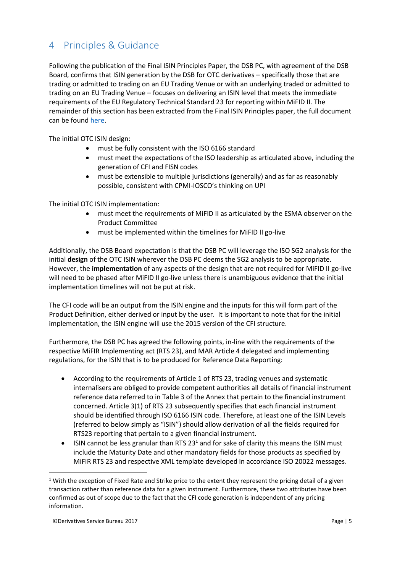# <span id="page-4-0"></span>4 Principles & Guidance

Following the publication of the Final ISIN Principles Paper, the DSB PC, with agreement of the DSB Board, confirms that ISIN generation by the DSB for OTC derivatives – specifically those that are trading or admitted to trading on an EU Trading Venue or with an underlying traded or admitted to trading on an EU Trading Venue – focuses on delivering an ISIN level that meets the immediate requirements of the EU Regulatory Technical Standard 23 for reporting within MiFID II. The remainder of this section has been extracted from the Final ISIN Principles paper, the full document can be found [here.](http://www.anna-web.org/dsb-consultation-pc-phase-1/)

The initial OTC ISIN design:

- must be fully consistent with the ISO 6166 standard
- must meet the expectations of the ISO leadership as articulated above, including the generation of CFI and FISN codes
- must be extensible to multiple jurisdictions (generally) and as far as reasonably possible, consistent with CPMI-IOSCO's thinking on UPI

The initial OTC ISIN implementation:

- must meet the requirements of MiFID II as articulated by the ESMA observer on the Product Committee
- must be implemented within the timelines for MiFID II go-live

Additionally, the DSB Board expectation is that the DSB PC will leverage the ISO SG2 analysis for the initial **design** of the OTC ISIN wherever the DSB PC deems the SG2 analysis to be appropriate. However, the **implementation** of any aspects of the design that are not required for MiFID II go-live will need to be phased after MiFID II go-live unless there is unambiguous evidence that the initial implementation timelines will not be put at risk.

The CFI code will be an output from the ISIN engine and the inputs for this will form part of the Product Definition, either derived or input by the user. It is important to note that for the initial implementation, the ISIN engine will use the 2015 version of the CFI structure.

Furthermore, the DSB PC has agreed the following points, in-line with the requirements of the respective MiFIR Implementing act (RTS 23), and MAR Article 4 delegated and implementing regulations, for the ISIN that is to be produced for Reference Data Reporting:

- According to the requirements of Article 1 of RTS 23, trading venues and systematic internalisers are obliged to provide competent authorities all details of financial instrument reference data referred to in Table 3 of the Annex that pertain to the financial instrument concerned. Article 3(1) of RTS 23 subsequently specifies that each financial instrument should be identified through ISO 6166 ISIN code. Therefore, at least one of the ISIN Levels (referred to below simply as "ISIN") should allow derivation of all the fields required for RTS23 reporting that pertain to a given financial instrument.
- ISIN cannot be less granular than RTS  $23<sup>1</sup>$  and for sake of clarity this means the ISIN must include the Maturity Date and other mandatory fields for those products as specified by MiFIR RTS 23 and respective XML template developed in accordance ISO 20022 messages.

**.** 

<sup>&</sup>lt;sup>1</sup> With the exception of Fixed Rate and Strike price to the extent they represent the pricing detail of a given transaction rather than reference data for a given instrument. Furthermore, these two attributes have been confirmed as out of scope due to the fact that the CFI code generation is independent of any pricing information.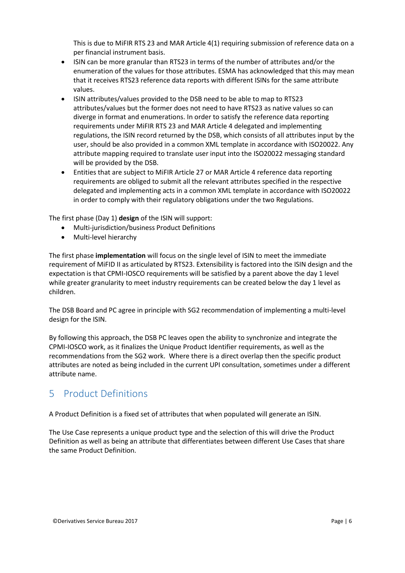This is due to MiFIR RTS 23 and MAR Article 4(1) requiring submission of reference data on a per financial instrument basis.

- ISIN can be more granular than RTS23 in terms of the number of attributes and/or the enumeration of the values for those attributes. ESMA has acknowledged that this may mean that it receives RTS23 reference data reports with different ISINs for the same attribute values.
- ISIN attributes/values provided to the DSB need to be able to map to RTS23 attributes/values but the former does not need to have RTS23 as native values so can diverge in format and enumerations. In order to satisfy the reference data reporting requirements under MiFIR RTS 23 and MAR Article 4 delegated and implementing regulations, the ISIN record returned by the DSB, which consists of all attributes input by the user, should be also provided in a common XML template in accordance with ISO20022. Any attribute mapping required to translate user input into the ISO20022 messaging standard will be provided by the DSB.
- Entities that are subject to MiFIR Article 27 or MAR Article 4 reference data reporting requirements are obliged to submit all the relevant attributes specified in the respective delegated and implementing acts in a common XML template in accordance with ISO20022 in order to comply with their regulatory obligations under the two Regulations.

The first phase (Day 1) **design** of the ISIN will support:

- Multi-jurisdiction/business Product Definitions
- Multi-level hierarchy

The first phase **implementation** will focus on the single level of ISIN to meet the immediate requirement of MiFID II as articulated by RTS23. Extensibility is factored into the ISIN design and the expectation is that CPMI-IOSCO requirements will be satisfied by a parent above the day 1 level while greater granularity to meet industry requirements can be created below the day 1 level as children.

The DSB Board and PC agree in principle with SG2 recommendation of implementing a multi-level design for the ISIN.

By following this approach, the DSB PC leaves open the ability to synchronize and integrate the CPMI-IOSCO work, as it finalizes the Unique Product Identifier requirements, as well as the recommendations from the SG2 work. Where there is a direct overlap then the specific product attributes are noted as being included in the current UPI consultation, sometimes under a different attribute name.

### <span id="page-5-0"></span>5 Product Definitions

A Product Definition is a fixed set of attributes that when populated will generate an ISIN.

The Use Case represents a unique product type and the selection of this will drive the Product Definition as well as being an attribute that differentiates between different Use Cases that share the same Product Definition.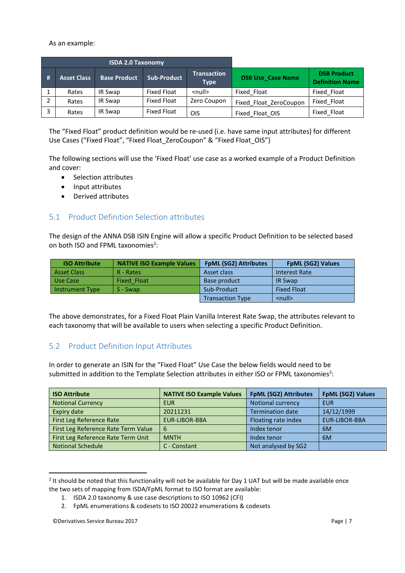As an example:

|     |                    | <b>ISDA 2.0 Taxonomy</b> |                    |                                   |                          |                                              |
|-----|--------------------|--------------------------|--------------------|-----------------------------------|--------------------------|----------------------------------------------|
| - # | <b>Asset Class</b> | <b>Base Product</b>      | <b>Sub-Product</b> | <b>Transaction</b><br><b>Type</b> | <b>DSB Use_Case Name</b> | <b>DSB Product</b><br><b>Definition Name</b> |
|     | Rates              | IR Swap                  | <b>Fixed Float</b> | $\leq$ null $\geq$                | Fixed Float              | Fixed Float                                  |
|     | Rates              | IR Swap                  | <b>Fixed Float</b> | Zero Coupon                       | Fixed Float ZeroCoupon   | Fixed Float                                  |
|     | Rates              | IR Swap                  | <b>Fixed Float</b> | OIS                               | Fixed Float OIS          | Fixed Float                                  |

The "Fixed Float" product definition would be re-used (i.e. have same input attributes) for different Use Cases ("Fixed Float", "Fixed Float ZeroCoupon" & "Fixed Float OIS")

The following sections will use the 'Fixed Float' use case as a worked example of a Product Definition and cover:

- Selection attributes
- Input attributes
- Derived attributes

### <span id="page-6-0"></span>5.1 Product Definition Selection attributes

The design of the ANNA DSB ISIN Engine will allow a specific Product Definition to be selected based on both ISO and FPML taxonomies<sup>2</sup>:

| <b>ISO Attribute</b>   | <b>NATIVE ISO Example Values</b> | <b>FpML (SG2) Attributes</b> | <b>FpML (SG2) Values</b> |
|------------------------|----------------------------------|------------------------------|--------------------------|
| <b>Asset Class</b>     | R - Rates                        | Asset class                  | <b>Interest Rate</b>     |
| Use Case               | Fixed Float                      | Base product                 | <b>IR Swap</b>           |
| <b>Instrument Type</b> | $S - Swap$                       | Sub-Product                  | <b>Fixed Float</b>       |
|                        |                                  | <b>Transaction Type</b>      | $\leq$ null $\geq$       |

The above demonstrates, for a Fixed Float Plain Vanilla Interest Rate Swap, the attributes relevant to each taxonomy that will be available to users when selecting a specific Product Definition.

### <span id="page-6-1"></span>5.2 Product Definition Input Attributes

In order to generate an ISIN for the "Fixed Float" Use Case the below fields would need to be submitted in addition to the Template Selection attributes in either ISO or FPML taxonomies<sup>2</sup>:

| <b>ISO Attribute</b>                | <b>NATIVE ISO Example Values</b> | <b>FpML (SG2) Attributes</b> | FpML (SG2) Values    |
|-------------------------------------|----------------------------------|------------------------------|----------------------|
| <b>Notional Currency</b>            | <b>EUR</b>                       | <b>Notional currency</b>     | EUR                  |
| Expiry date                         | 20211231                         | <b>Termination date</b>      | 14/12/1999           |
| First Leg Reference Rate            | EUR-LIBOR-BBA                    | Floating rate index          | <b>EUR-LIBOR-BBA</b> |
| First Leg Reference Rate Term Value | 6                                | Index tenor                  | 6M                   |
| First Leg Reference Rate Term Unit  | <b>MNTH</b>                      | Index tenor                  | 6M                   |
| <b>Notional Schedule</b>            | C - Constant                     | Not analysed by SG2          |                      |

 $2$  It should be noted that this functionality will not be available for Day 1 UAT but will be made available once the two sets of mapping from ISDA/FpML format to ISO format are available:

**.** 

<sup>1.</sup> ISDA 2.0 taxonomy & use case descriptions to ISO 10962 (CFI)

<sup>2.</sup> FpML enumerations & codesets to ISO 20022 enumerations & codesets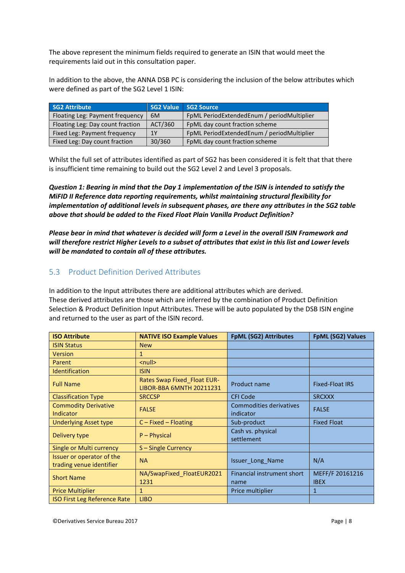The above represent the minimum fields required to generate an ISIN that would meet the requirements laid out in this consultation paper.

In addition to the above, the ANNA DSB PC is considering the inclusion of the below attributes which were defined as part of the SG2 Level 1 ISIN:

| <b>SG2 Attribute</b>             |         | SG2 Value SG2 Source                       |
|----------------------------------|---------|--------------------------------------------|
| Floating Leg: Payment frequency  | 6M      | FpML PeriodExtendedEnum / periodMultiplier |
| Floating Leg: Day count fraction | ACT/360 | FpML day count fraction scheme             |
| Fixed Leg: Payment frequency     | 1Y      | FpML PeriodExtendedEnum / periodMultiplier |
| Fixed Leg: Day count fraction    | 30/360  | FpML day count fraction scheme             |

Whilst the full set of attributes identified as part of SG2 has been considered it is felt that that there is insufficient time remaining to build out the SG2 Level 2 and Level 3 proposals.

*Question 1: Bearing in mind that the Day 1 implementation of the ISIN is intended to satisfy the MiFID II Reference data reporting requirements, whilst maintaining structural flexibility for implementation of additional levels in subsequent phases, are there any attributes in the SG2 table above that should be added to the Fixed Float Plain Vanilla Product Definition?*

*Please bear in mind that whatever is decided will form a Level in the overall ISIN Framework and will therefore restrict Higher Levels to a subset of attributes that exist in this list and Lower levels will be mandated to contain all of these attributes.*

### <span id="page-7-0"></span>5.3 Product Definition Derived Attributes

In addition to the Input attributes there are additional attributes which are derived. These derived attributes are those which are inferred by the combination of Product Definition Selection & Product Definition Input Attributes. These will be auto populated by the DSB ISIN engine and returned to the user as part of the ISIN record.

| <b>ISO Attribute</b>                                  | <b>NATIVE ISO Example Values</b>                               | <b>FpML (SG2) Attributes</b>         | <b>FpML (SG2) Values</b>       |
|-------------------------------------------------------|----------------------------------------------------------------|--------------------------------------|--------------------------------|
| <b>ISIN Status</b>                                    | <b>New</b>                                                     |                                      |                                |
| Version                                               | 1                                                              |                                      |                                |
| Parent                                                | $\leq$ null $\geq$                                             |                                      |                                |
| <b>Identification</b>                                 | <b>ISIN</b>                                                    |                                      |                                |
| <b>Full Name</b>                                      | <b>Rates Swap Fixed_Float EUR-</b><br>LIBOR-BBA 6MNTH 20211231 | Product name                         | <b>Fixed-Float IRS</b>         |
| <b>Classification Type</b>                            | <b>SRCCSP</b>                                                  | <b>CFI Code</b>                      | <b>SRCXXX</b>                  |
| <b>Commodity Derivative</b><br>Indicator              | <b>FALSE</b>                                                   | Commodities derivatives<br>indicator | <b>FALSE</b>                   |
| <b>Underlying Asset type</b>                          | $C$ – Fixed – Floating                                         | Sub-product                          | <b>Fixed Float</b>             |
| Delivery type                                         | $P - Physical$                                                 | Cash vs. physical<br>settlement      |                                |
| Single or Multi currency                              | S-Single Currency                                              |                                      |                                |
| Issuer or operator of the<br>trading venue identifier | <b>NA</b>                                                      | Issuer_Long_Name                     | N/A                            |
| <b>Short Name</b>                                     | NA/SwapFixed FloatEUR2021<br>1231                              | Financial instrument short<br>name   | MEFF/F 20161216<br><b>IBEX</b> |
| <b>Price Multiplier</b>                               | 1                                                              | Price multiplier                     | 1                              |
| <b>ISO First Leg Reference Rate</b>                   | <b>LIBO</b>                                                    |                                      |                                |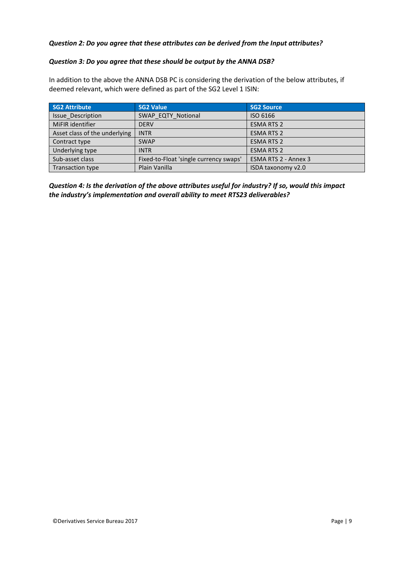#### *Question 2: Do you agree that these attributes can be derived from the Input attributes?*

#### *Question 3: Do you agree that these should be output by the ANNA DSB?*

In addition to the above the ANNA DSB PC is considering the derivation of the below attributes, if deemed relevant, which were defined as part of the SG2 Level 1 ISIN:

| <b>SG2 Attribute</b>          | <b>SG2 Value</b>                       | <b>SG2 Source</b>    |
|-------------------------------|----------------------------------------|----------------------|
| <b>Issue Description</b>      | SWAP EQTY Notional                     | ISO 6166             |
| MiFIR identifier              | <b>DERV</b>                            | <b>ESMA RTS 2</b>    |
| Asset class of the underlying | <b>INTR</b>                            | <b>ESMA RTS 2</b>    |
| Contract type                 | <b>SWAP</b>                            | <b>ESMA RTS 2</b>    |
| Underlying type               | <b>INTR</b>                            | <b>ESMA RTS 2</b>    |
| Sub-asset class               | Fixed-to-Float 'single currency swaps' | ESMA RTS 2 - Annex 3 |
| <b>Transaction type</b>       | Plain Vanilla                          | ISDA taxonomy v2.0   |

*Question 4: Is the derivation of the above attributes useful for industry? If so, would this impact the industry's implementation and overall ability to meet RTS23 deliverables?*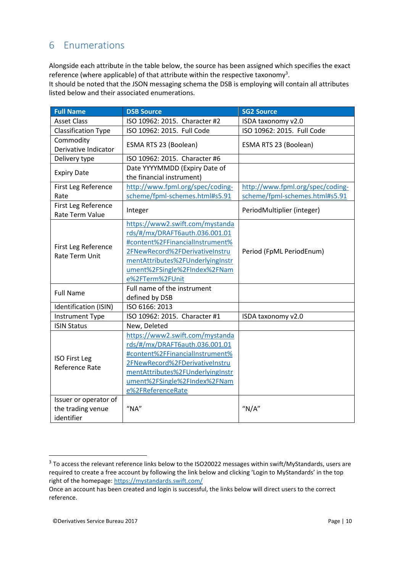## <span id="page-9-0"></span>6 Enumerations

Alongside each attribute in the table below, the source has been assigned which specifies the exact reference (where applicable) of that attribute within the respective taxonomy<sup>3</sup>.

It should be noted that the JSON messaging schema the DSB is employing will contain all attributes listed below and their associated enumerations.

| <b>Full Name</b>           | <b>DSB Source</b>                | <b>SG2 Source</b>                |  |
|----------------------------|----------------------------------|----------------------------------|--|
| <b>Asset Class</b>         | ISO 10962: 2015. Character #2    | ISDA taxonomy v2.0               |  |
| <b>Classification Type</b> | ISO 10962: 2015. Full Code       | ISO 10962: 2015. Full Code       |  |
| Commodity                  | ESMA RTS 23 (Boolean)            | ESMA RTS 23 (Boolean)            |  |
| Derivative Indicator       |                                  |                                  |  |
| Delivery type              | ISO 10962: 2015. Character #6    |                                  |  |
| <b>Expiry Date</b>         | Date YYYYMMDD (Expiry Date of    |                                  |  |
|                            | the financial instrument)        |                                  |  |
| First Leg Reference        | http://www.fpml.org/spec/coding- | http://www.fpml.org/spec/coding- |  |
| Rate                       | scheme/fpml-schemes.html#s5.91   | scheme/fpml-schemes.html#s5.91   |  |
| First Leg Reference        | Integer                          | PeriodMultiplier (integer)       |  |
| Rate Term Value            |                                  |                                  |  |
|                            | https://www2.swift.com/mystanda  |                                  |  |
|                            | rds/#/mx/DRAFT6auth.036.001.01   |                                  |  |
| First Leg Reference        | #content%2FFinancialInstrument%  |                                  |  |
| <b>Rate Term Unit</b>      | 2FNewRecord%2FDerivativeInstru   | Period (FpML PeriodEnum)         |  |
|                            | mentAttributes%2FUnderlyingInstr |                                  |  |
|                            | ument%2FSingle%2FIndex%2FNam     |                                  |  |
|                            | e%2FTerm%2FUnit                  |                                  |  |
| <b>Full Name</b>           | Full name of the instrument      |                                  |  |
|                            | defined by DSB                   |                                  |  |
| Identification (ISIN)      | ISO 6166: 2013                   |                                  |  |
| <b>Instrument Type</b>     | ISO 10962: 2015. Character #1    | ISDA taxonomy v2.0               |  |
| <b>ISIN Status</b>         | New, Deleted                     |                                  |  |
|                            | https://www2.swift.com/mystanda  |                                  |  |
|                            | rds/#/mx/DRAFT6auth.036.001.01   |                                  |  |
| <b>ISO First Leg</b>       | #content%2FFinancialInstrument%  |                                  |  |
| Reference Rate             | 2FNewRecord%2FDerivativeInstru   |                                  |  |
|                            | mentAttributes%2FUnderlyingInstr |                                  |  |
|                            | ument%2FSingle%2FIndex%2FNam     |                                  |  |
|                            | e%2FReferenceRate                |                                  |  |
| Issuer or operator of      |                                  |                                  |  |
| the trading venue          | "NA"                             | " $N/A$ "                        |  |
| identifier                 |                                  |                                  |  |

1

<sup>&</sup>lt;sup>3</sup> To access the relevant reference links below to the ISO20022 messages within swift/MyStandards, users are required to create a free account by following the link below and clicking 'Login to MyStandards' in the top right of the homepage:<https://mystandards.swift.com/>

Once an account has been created and login is successful, the links below will direct users to the correct reference.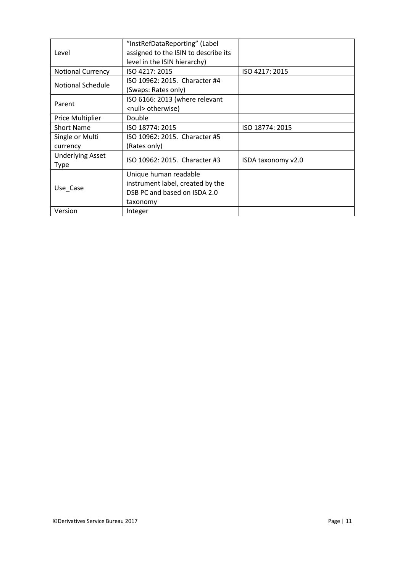|                          | "InstRefDataReporting" (Label        |                    |
|--------------------------|--------------------------------------|--------------------|
| Level                    | assigned to the ISIN to describe its |                    |
|                          | level in the ISIN hierarchy)         |                    |
| <b>Notional Currency</b> | ISO 4217: 2015                       | ISO 4217: 2015     |
| Notional Schedule        | ISO 10962: 2015. Character #4        |                    |
|                          | (Swaps: Rates only)                  |                    |
|                          | ISO 6166: 2013 (where relevant       |                    |
| Parent                   | <null> otherwise)</null>             |                    |
| Price Multiplier         | Double                               |                    |
| <b>Short Name</b>        | ISO 18774: 2015                      | ISO 18774: 2015    |
| Single or Multi          | ISO 10962: 2015. Character #5        |                    |
| currency                 | (Rates only)                         |                    |
| <b>Underlying Asset</b>  | ISO 10962: 2015. Character #3        |                    |
| <b>Type</b>              |                                      | ISDA taxonomy v2.0 |
|                          | Unique human readable                |                    |
| Use Case                 | instrument label, created by the     |                    |
|                          | DSB PC and based on ISDA 2.0         |                    |
|                          | taxonomy                             |                    |
| Version                  | Integer                              |                    |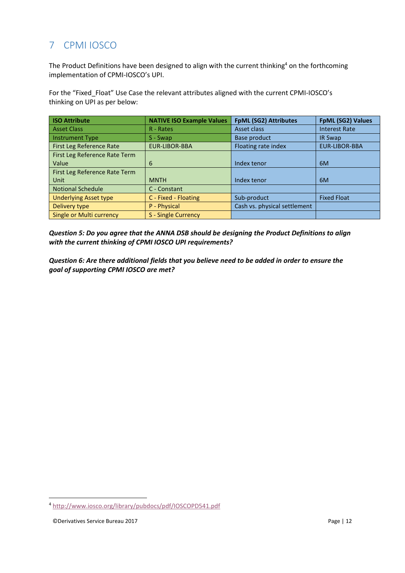# <span id="page-11-0"></span>7 CPMI IOSCO

The Product Definitions have been designed to align with the current thinking<sup>4</sup> on the forthcoming implementation of CPMI-IOSCO's UPI.

For the "Fixed\_Float" Use Case the relevant attributes aligned with the current CPMI-IOSCO's thinking on UPI as per below:

| <b>ISO Attribute</b>          | <b>NATIVE ISO Example Values</b> | <b>FpML (SG2) Attributes</b> | FpML (SG2) Values    |
|-------------------------------|----------------------------------|------------------------------|----------------------|
| <b>Asset Class</b>            | R - Rates                        | Asset class                  | <b>Interest Rate</b> |
| <b>Instrument Type</b>        | S - Swap                         | Base product                 | <b>IR Swap</b>       |
| First Leg Reference Rate      | <b>EUR-LIBOR-BBA</b>             | Floating rate index          | <b>EUR-LIBOR-BBA</b> |
| First Leg Reference Rate Term |                                  |                              |                      |
| Value                         | 6                                | Index tenor                  | 6M                   |
| First Leg Reference Rate Term |                                  |                              |                      |
| Unit                          | <b>MNTH</b>                      | Index tenor                  | 6M                   |
| <b>Notional Schedule</b>      | C - Constant                     |                              |                      |
| <b>Underlying Asset type</b>  | C - Fixed - Floating             | Sub-product                  | <b>Fixed Float</b>   |
| Delivery type                 | P - Physical                     | Cash vs. physical settlement |                      |
| Single or Multi currency      | S - Single Currency              |                              |                      |

*Question 5: Do you agree that the ANNA DSB should be designing the Product Definitions to align with the current thinking of CPMI IOSCO UPI requirements?*

*Question 6: Are there additional fields that you believe need to be added in order to ensure the goal of supporting CPMI IOSCO are met?*

1

<sup>4</sup> <http://www.iosco.org/library/pubdocs/pdf/IOSCOPD541.pdf>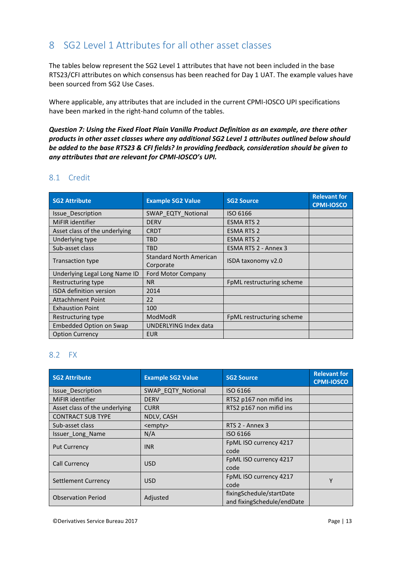# <span id="page-12-0"></span>8 SG2 Level 1 Attributes for all other asset classes

The tables below represent the SG2 Level 1 attributes that have not been included in the base RTS23/CFI attributes on which consensus has been reached for Day 1 UAT. The example values have been sourced from SG2 Use Cases.

Where applicable, any attributes that are included in the current CPMI-IOSCO UPI specifications have been marked in the right-hand column of the tables.

*Question 7: Using the Fixed Float Plain Vanilla Product Definition as an example, are there other products in other asset classes where any additional SG2 Level 1 attributes outlined below should be added to the base RTS23 & CFI fields? In providing feedback, consideration should be given to any attributes that are relevant for CPMI-IOSCO's UPI.*

### <span id="page-12-1"></span>8.1 Credit

| <b>SG2 Attribute</b>           | <b>Example SG2 Value</b>                    | <b>SG2 Source</b>         | <b>Relevant for</b><br><b>CPMI-IOSCO</b> |
|--------------------------------|---------------------------------------------|---------------------------|------------------------------------------|
| Issue Description              | SWAP EQTY Notional                          | ISO 6166                  |                                          |
| MiFIR identifier               | <b>DERV</b>                                 | <b>ESMA RTS 2</b>         |                                          |
| Asset class of the underlying  | <b>CRDT</b>                                 | <b>ESMA RTS 2</b>         |                                          |
| Underlying type                | <b>TBD</b>                                  | <b>ESMA RTS 2</b>         |                                          |
| Sub-asset class                | <b>TBD</b>                                  | ESMA RTS 2 - Annex 3      |                                          |
| <b>Transaction type</b>        | <b>Standard North American</b><br>Corporate | ISDA taxonomy v2.0        |                                          |
| Underlying Legal Long Name ID  | <b>Ford Motor Company</b>                   |                           |                                          |
| Restructuring type             | <b>NR</b>                                   | FpML restructuring scheme |                                          |
| <b>ISDA definition version</b> | 2014                                        |                           |                                          |
| <b>Attachhment Point</b>       | 22                                          |                           |                                          |
| <b>Exhaustion Point</b>        | 100                                         |                           |                                          |
| Restructuring type             | ModModR                                     | FpML restructuring scheme |                                          |
| Embedded Option on Swap        | UNDERLYING Index data                       |                           |                                          |
| <b>Option Currency</b>         | <b>EUR</b>                                  |                           |                                          |

#### <span id="page-12-2"></span>8.2 FX

| <b>SG2 Attribute</b>          | <b>Example SG2 Value</b> | <b>SG2 Source</b>                                      | <b>Relevant for</b><br><b>CPMI-IOSCO</b> |
|-------------------------------|--------------------------|--------------------------------------------------------|------------------------------------------|
| <b>Issue Description</b>      | SWAP EQTY Notional       | ISO 6166                                               |                                          |
| MiFIR identifier              | <b>DERV</b>              | RTS2 p167 non mifid ins                                |                                          |
| Asset class of the underlying | <b>CURR</b>              | RTS2 p167 non mifid ins                                |                                          |
| <b>CONTRACT SUB TYPE</b>      | NDLV, CASH               |                                                        |                                          |
| Sub-asset class               | <empty></empty>          | RTS 2 - Annex 3                                        |                                          |
| Issuer Long Name              | N/A                      | ISO 6166                                               |                                          |
| <b>Put Currency</b>           | <b>INR</b>               | FpML ISO currency 4217<br>code                         |                                          |
| <b>Call Currency</b>          | <b>USD</b>               | FpML ISO currency 4217<br>code                         |                                          |
| Settlement Currency           | <b>USD</b>               | FpML ISO currency 4217<br>code                         | γ                                        |
| <b>Observation Period</b>     | Adjusted                 | fixingSchedule/startDate<br>and fixingSchedule/endDate |                                          |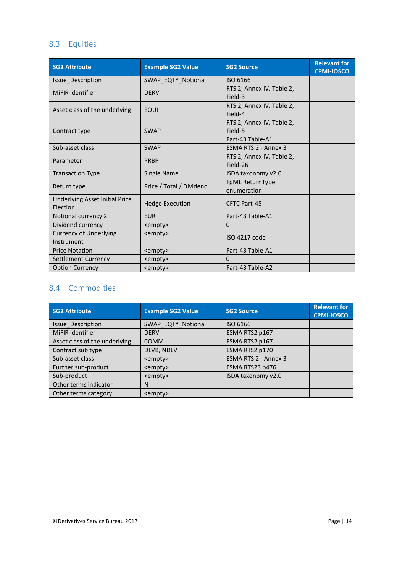### <span id="page-13-0"></span>8.3 Equities

| <b>SG2 Attribute</b>                        | <b>Example SG2 Value</b> | <b>SG2 Source</b>                                        | <b>Relevant for</b><br><b>CPMI-IOSCO</b> |
|---------------------------------------------|--------------------------|----------------------------------------------------------|------------------------------------------|
| Issue_Description                           | SWAP EQTY Notional       | ISO 6166                                                 |                                          |
| MiFIR identifier                            | <b>DERV</b>              | RTS 2, Annex IV, Table 2,<br>Field-3                     |                                          |
| Asset class of the underlying               | <b>EQUI</b>              | RTS 2, Annex IV, Table 2,<br>Field-4                     |                                          |
| Contract type                               | <b>SWAP</b>              | RTS 2, Annex IV, Table 2,<br>Field-5<br>Part-43 Table-A1 |                                          |
| Sub-asset class                             | <b>SWAP</b>              | ESMA RTS 2 - Annex 3                                     |                                          |
| Parameter                                   | <b>PRBP</b>              | RTS 2, Annex IV, Table 2,<br>Field-26                    |                                          |
| <b>Transaction Type</b>                     | Single Name              | ISDA taxonomy v2.0                                       |                                          |
| Return type                                 | Price / Total / Dividend | FpML ReturnType<br>enumeration                           |                                          |
| Underlying Asset Initial Price<br>Election  | <b>Hedge Execution</b>   | <b>CFTC Part-45</b>                                      |                                          |
| Notional currency 2                         | <b>EUR</b>               | Part-43 Table-A1                                         |                                          |
| Dividend currency                           | <empty></empty>          | $\Omega$                                                 |                                          |
| <b>Currency of Underlying</b><br>Instrument | <empty></empty>          | ISO 4217 code                                            |                                          |
| <b>Price Notation</b>                       | <empty></empty>          | Part-43 Table-A1                                         |                                          |
| Settlement Currency                         | <empty></empty>          | $\Omega$                                                 |                                          |
| <b>Option Currency</b>                      | <empty></empty>          | Part-43 Table-A2                                         |                                          |

### <span id="page-13-1"></span>8.4 Commodities

| <b>SG2 Attribute</b>          | <b>Example SG2 Value</b> | <b>SG2 Source</b>    | <b>Relevant for</b><br><b>CPMI-IOSCO</b> |
|-------------------------------|--------------------------|----------------------|------------------------------------------|
| <b>Issue Description</b>      | SWAP EQTY Notional       | ISO 6166             |                                          |
| MiFIR identifier              | <b>DERV</b>              | ESMA RTS2 p167       |                                          |
| Asset class of the underlying | <b>COMM</b>              | ESMA RTS2 p167       |                                          |
| Contract sub type             | DLVB, NDLV               | ESMA RTS2 p170       |                                          |
| Sub-asset class               | <empty></empty>          | ESMA RTS 2 - Annex 3 |                                          |
| Further sub-product           | <empty></empty>          | ESMA RTS23 p476      |                                          |
| Sub-product                   | <empty></empty>          | ISDA taxonomy v2.0   |                                          |
| Other terms indicator         | N                        |                      |                                          |
| Other terms category          | <empty></empty>          |                      |                                          |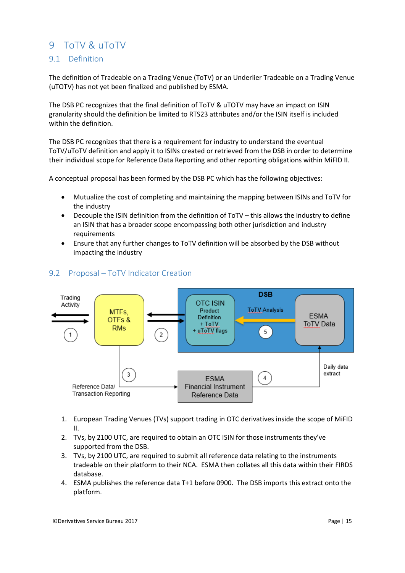### <span id="page-14-0"></span>9 ToTV & uToTV

### <span id="page-14-1"></span>9.1 Definition

The definition of Tradeable on a Trading Venue (ToTV) or an Underlier Tradeable on a Trading Venue (uTOTV) has not yet been finalized and published by ESMA.

The DSB PC recognizes that the final definition of ToTV & uTOTV may have an impact on ISIN granularity should the definition be limited to RTS23 attributes and/or the ISIN itself is included within the definition.

The DSB PC recognizes that there is a requirement for industry to understand the eventual ToTV/uToTV definition and apply it to ISINs created or retrieved from the DSB in order to determine their individual scope for Reference Data Reporting and other reporting obligations within MiFID II.

A conceptual proposal has been formed by the DSB PC which has the following objectives:

- Mutualize the cost of completing and maintaining the mapping between ISINs and ToTV for the industry
- Decouple the ISIN definition from the definition of ToTV this allows the industry to define an ISIN that has a broader scope encompassing both other jurisdiction and industry requirements
- Ensure that any further changes to ToTV definition will be absorbed by the DSB without impacting the industry



#### <span id="page-14-2"></span>9.2 Proposal – ToTV Indicator Creation

- 1. European Trading Venues (TVs) support trading in OTC derivatives inside the scope of MiFID II.
- 2. TVs, by 2100 UTC, are required to obtain an OTC ISIN for those instruments they've supported from the DSB.
- 3. TVs, by 2100 UTC, are required to submit all reference data relating to the instruments tradeable on their platform to their NCA. ESMA then collates all this data within their FIRDS database.
- 4. ESMA publishes the reference data T+1 before 0900. The DSB imports this extract onto the platform.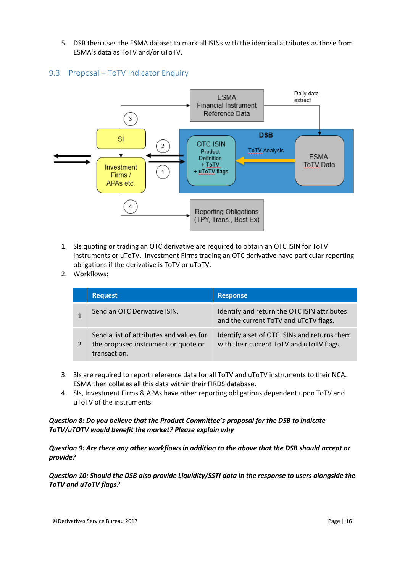- 5. DSB then uses the ESMA dataset to mark all ISINs with the identical attributes as those from ESMA's data as ToTV and/or uToTV.
- <span id="page-15-0"></span>9.3 Proposal – ToTV Indicator Enquiry



- 1. SIs quoting or trading an OTC derivative are required to obtain an OTC ISIN for ToTV instruments or uToTV. Investment Firms trading an OTC derivative have particular reporting obligations if the derivative is ToTV or uToTV.
- 2. Workflows:

| <b>Request</b>                                                                                  | <b>Response</b>                                                                          |
|-------------------------------------------------------------------------------------------------|------------------------------------------------------------------------------------------|
| Send an OTC Derivative ISIN.                                                                    | Identify and return the OTC ISIN attributes<br>and the current ToTV and uToTV flags.     |
| Send a list of attributes and values for<br>the proposed instrument or quote or<br>transaction. | Identify a set of OTC ISINs and returns them<br>with their current ToTV and uToTV flags. |

- 3. SIs are required to report reference data for all ToTV and uToTV instruments to their NCA. ESMA then collates all this data within their FIRDS database.
- 4. SIs, Investment Firms & APAs have other reporting obligations dependent upon ToTV and uToTV of the instruments.

#### *Question 8: Do you believe that the Product Committee's proposal for the DSB to indicate ToTV/uTOTV would benefit the market? Please explain why*

*Question 9: Are there any other workflows in addition to the above that the DSB should accept or provide?*

*Question 10: Should the DSB also provide Liquidity/SSTI data in the response to users alongside the ToTV and uToTV flags?*